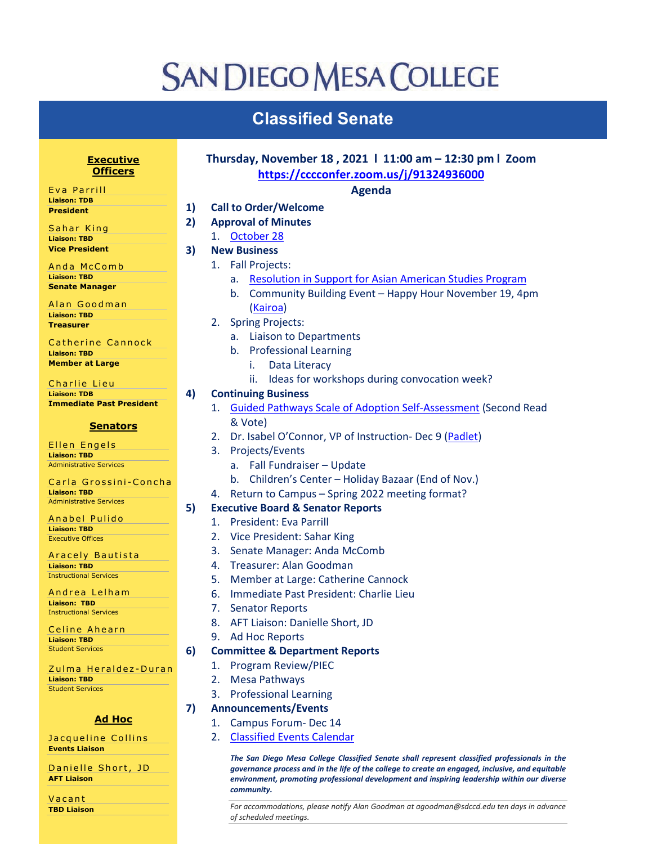## **SAN DIEGO MESA COLLEGE**

## **Classified Senate**

| <b>Executive</b><br><b>Officers</b>                  |    | Thursday, November 18, 2021   11:00 am - 12:30 pm   Zoom<br>https://cccconfer.zoom.us/j/91324936000 |
|------------------------------------------------------|----|-----------------------------------------------------------------------------------------------------|
| Eva Parrill                                          |    | <b>Agenda</b>                                                                                       |
| <b>Liaison: TDB</b>                                  | 1) | <b>Call to Order/Welcome</b>                                                                        |
| President                                            |    |                                                                                                     |
| Sahar King                                           | 2) | <b>Approval of Minutes</b>                                                                          |
| <b>Liaison: TBD</b>                                  |    | October 28<br>1.                                                                                    |
| <b>Vice President</b>                                | 3) | <b>New Business</b>                                                                                 |
| Anda McComb                                          |    | <b>Fall Projects:</b><br>1.                                                                         |
| <b>Liaison: TBD</b>                                  |    | <b>Resolution in Support for Asian American Studies Program</b><br>a.                               |
| <b>Senate Manager</b>                                |    | Community Building Event - Happy Hour November 19, 4pm<br>b.                                        |
| Alan Goodman                                         |    | (Kairoa)                                                                                            |
| <b>Liaison: TBD</b>                                  |    | 2.                                                                                                  |
| <b>Treasurer</b>                                     |    | <b>Spring Projects:</b>                                                                             |
| Catherine Cannock                                    |    | <b>Liaison to Departments</b><br>a.                                                                 |
| <b>Liaison: TBD</b>                                  |    | b. Professional Learning                                                                            |
| <b>Member at Large</b>                               |    | Data Literacy<br>i.                                                                                 |
| Charlie Lieu                                         |    | Ideas for workshops during convocation week?<br>ii.                                                 |
| <b>Liaison: TDB</b>                                  | 4) | <b>Continuing Business</b>                                                                          |
| <b>Immediate Past President</b>                      |    | <b>Guided Pathways Scale of Adoption Self-Assessment (Second Read</b><br>1.                         |
|                                                      |    | & Vote)                                                                                             |
| <b>Senators</b>                                      |    | Dr. Isabel O'Connor, VP of Instruction- Dec 9 (Padlet)<br>2.                                        |
| Ellen Engels                                         |    |                                                                                                     |
| <b>Liaison: TBD</b>                                  |    | Projects/Events<br>3.                                                                               |
| <b>Administrative Services</b>                       |    | a. Fall Fundraiser - Update                                                                         |
| Carla Grossini-Concha                                |    | b. Children's Center - Holiday Bazaar (End of Nov.)                                                 |
| <b>Liaison: TBD</b>                                  |    | Return to Campus - Spring 2022 meeting format?<br>4.                                                |
| <b>Administrative Services</b>                       | 5) | <b>Executive Board &amp; Senator Reports</b>                                                        |
| Anabel Pulido                                        |    | 1. President: Eva Parrill                                                                           |
| <b>Liaison: TBD</b><br><b>Executive Offices</b>      |    | 2. Vice President: Sahar King                                                                       |
|                                                      |    | Senate Manager: Anda McComb<br>3.                                                                   |
| Aracely Bautista                                     |    | Treasurer: Alan Goodman<br>4.                                                                       |
| <b>Liaison: TBD</b><br><b>Instructional Services</b> |    |                                                                                                     |
|                                                      |    | Member at Large: Catherine Cannock<br>5.                                                            |
| Andrea Lelham<br><b>Liaison: TBD</b>                 |    | Immediate Past President: Charlie Lieu<br>6.                                                        |
| <b>Instructional Services</b>                        |    | <b>Senator Reports</b><br>7.                                                                        |
|                                                      |    | AFT Liaison: Danielle Short, JD<br>8.                                                               |
| Celine Ahearn<br><b>Liaison: TBD</b>                 |    | <b>Ad Hoc Reports</b><br>9.                                                                         |
| <b>Student Services</b>                              | 6) | <b>Committee &amp; Department Reports</b>                                                           |
|                                                      |    | Program Review/PIEC<br>1.                                                                           |
| Zulma Heraldez-Duran<br><b>Liaison: TBD</b>          |    |                                                                                                     |
| <b>Student Services</b>                              |    | <b>Mesa Pathways</b><br>2.                                                                          |
|                                                      |    | <b>Professional Learning</b><br>3.                                                                  |
|                                                      | 7) | <b>Announcements/Events</b>                                                                         |
| <b>Ad Hoc</b>                                        |    | Campus Forum-Dec 14<br>1.                                                                           |
| Jacqueline Collins                                   |    | <b>Classified Events Calendar</b><br>2.                                                             |

*The San Diego Mesa College Classified Senate shall represent classified professionals in the governance process and in the life of the college to create an engaged, inclusive, and equitable environment, promoting professional development and inspiring leadership within our diverse community.*

*For accommodations, please notify Alan Goodman at agoodman@sdccd.edu ten days in advance of scheduled meetings.*

Vacant **TBD Liaison** 

**AFT Liaison**

**Events Liaison**

Danielle Short, JD